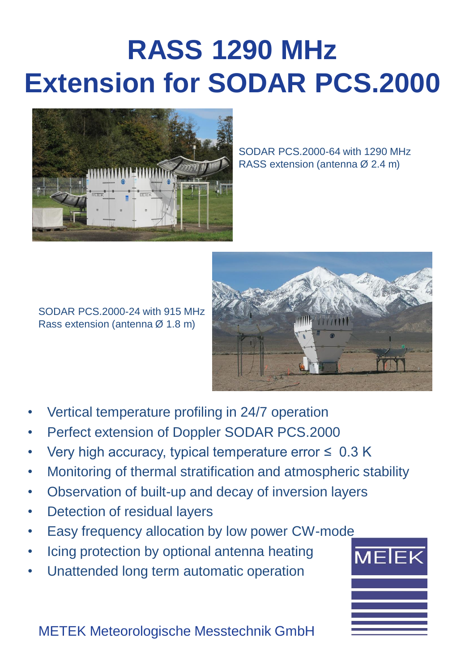## **RASS 1290 MHz Extension for SODAR PCS.2000**



SODAR PCS.2000-64 with 1290 MHz RASS extension (antenna Ø 2.4 m)



SODAR PCS.2000-24 with 915 MHz Rass extension (antenna Ø 1.8 m)

- Vertical temperature profiling in 24/7 operation
- Perfect extension of Doppler SODAR PCS.2000
- Very high accuracy, typical temperature error  $\leq 0.3$  K
- Monitoring of thermal stratification and atmospheric stability
- Observation of built-up and decay of inversion layers
- Detection of residual layers
- Easy frequency allocation by low power CW-mode
- Icing protection by optional antenna heating
- Unattended long term automatic operation